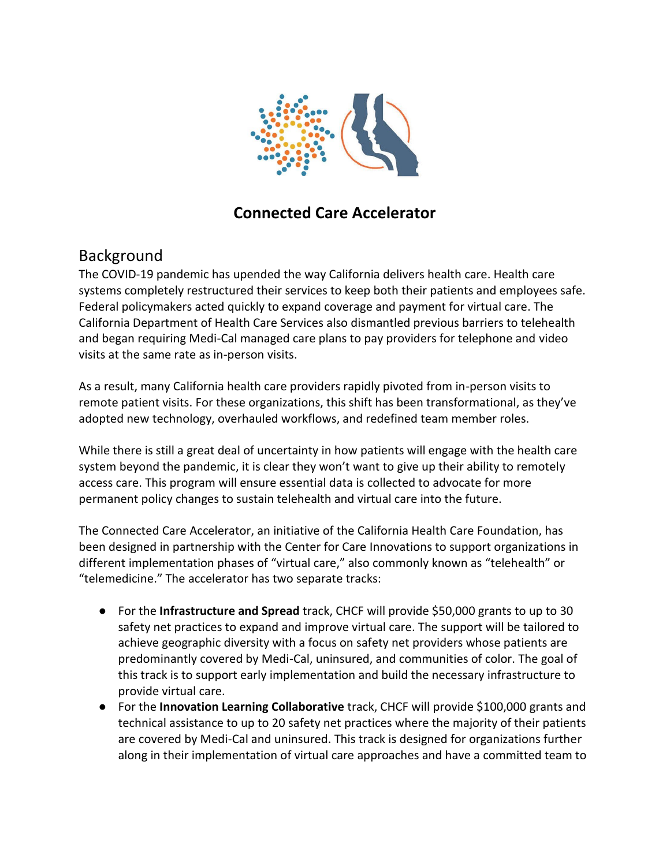

## **Connected Care Accelerator**

## Background

The COVID-19 pandemic has upended the way California delivers health care. Health care systems completely restructured their services to keep both their patients and employees safe. Federal policymakers acted quickly to expand coverage and payment for virtual care. The California Department of Health Care Services also dismantled previous barriers to telehealth and began requiring Medi-Cal managed care plans to pay providers for telephone and video visits at the same rate as in-person visits.

As a result, many California health care providers rapidly pivoted from in-person visits to remote patient visits. For these organizations, this shift has been transformational, as they've adopted new technology, overhauled workflows, and redefined team member roles.

While there is still a great deal of uncertainty in how patients will engage with the health care system beyond the pandemic, it is clear they won't want to give up their ability to remotely access care. This program will ensure essential data is collected to advocate for more permanent policy changes to sustain telehealth and virtual care into the future.

The Connected Care Accelerator, an initiative of the California Health Care Foundation, has been designed in partnership with the Center for Care Innovations to support organizations in different implementation phases of "virtual care," also commonly known as "telehealth" or "telemedicine." The accelerator has two separate tracks:

- For the **Infrastructure and Spread** track, CHCF will provide \$50,000 grants to up to 30 safety net practices to expand and improve virtual care. The support will be tailored to achieve geographic diversity with a focus on safety net providers whose patients are predominantly covered by Medi-Cal, uninsured, and communities of color. The goal of this track is to support early implementation and build the necessary infrastructure to provide virtual care.
- For the **Innovation Learning Collaborative** track, CHCF will provide \$100,000 grants and technical assistance to up to 20 safety net practices where the majority of their patients are covered by Medi-Cal and uninsured. This track is designed for organizations further along in their implementation of virtual care approaches and have a committed team to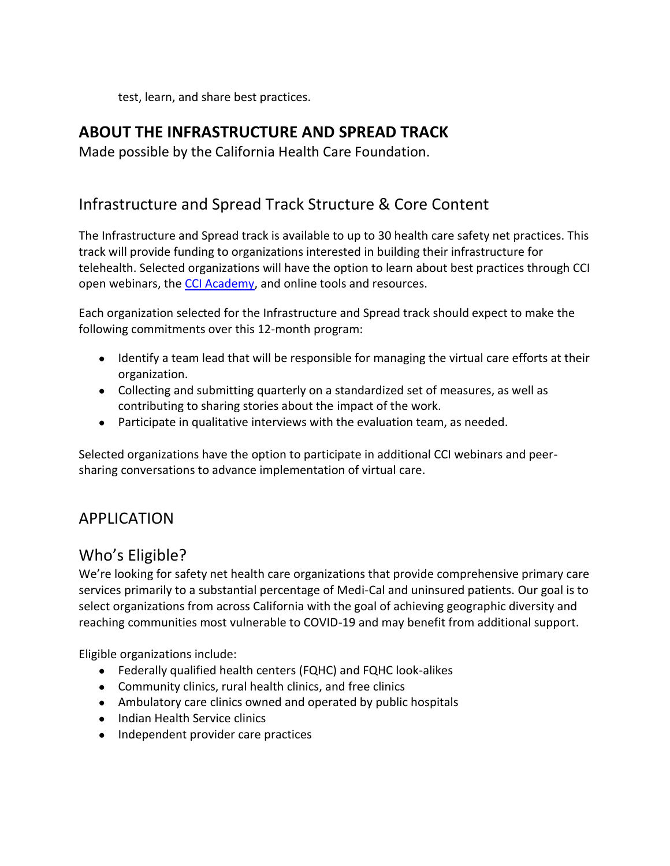test, learn, and share best practices.

## **ABOUT THE INFRASTRUCTURE AND SPREAD TRACK**

Made possible by the California Health Care Foundation.

## Infrastructure and Spread Track Structure & Core Content

The Infrastructure and Spread track is available to up to 30 health care safety net practices. This track will provide funding to organizations interested in building their infrastructure for telehealth. Selected organizations will have the option to learn about best practices through CCI open webinars, the [CCI Academy,](https://academy.careinnovations.org/) and online tools and resources.

Each organization selected for the Infrastructure and Spread track should expect to make the following commitments over this 12-month program:

- Identify a team lead that will be responsible for managing the virtual care efforts at their organization.
- Collecting and submitting quarterly on a standardized set of measures, as well as contributing to sharing stories about the impact of the work.
- Participate in qualitative interviews with the evaluation team, as needed.

Selected organizations have the option to participate in additional CCI webinars and peersharing conversations to advance implementation of virtual care.

## APPLICATION

## Who's Eligible?

We're looking for safety net health care organizations that provide comprehensive primary care services primarily to a substantial percentage of Medi-Cal and uninsured patients. Our goal is to select organizations from across California with the goal of achieving geographic diversity and reaching communities most vulnerable to COVID-19 and may benefit from additional support.

Eligible organizations include:

- Federally qualified health centers (FQHC) and FQHC look-alikes
- Community clinics, rural health clinics, and free clinics
- Ambulatory care clinics owned and operated by public hospitals
- Indian Health Service clinics
- Independent provider care practices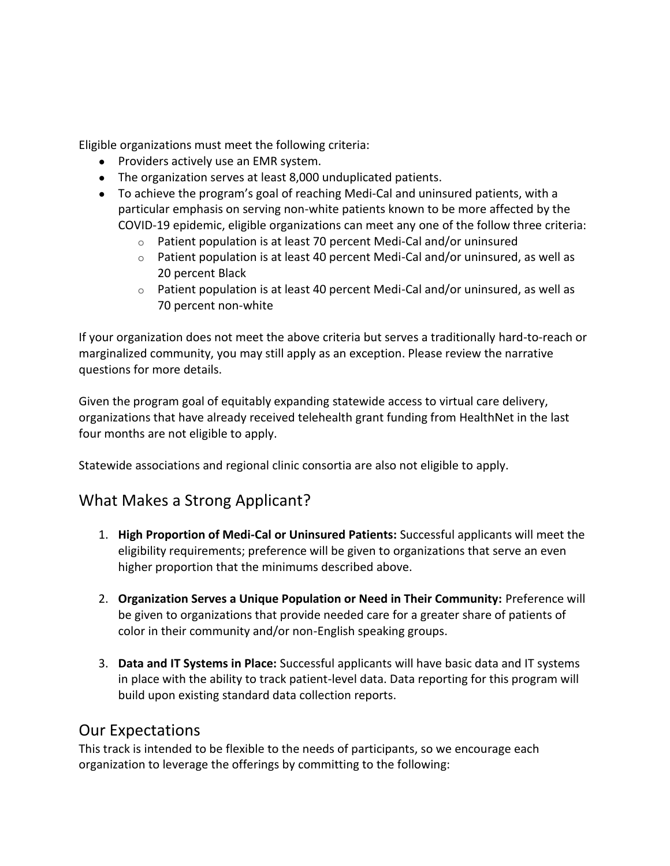Eligible organizations must meet the following criteria:

- Providers actively use an EMR system.
- The organization serves at least 8,000 unduplicated patients.
- To achieve the program's goal of reaching Medi-Cal and uninsured patients, with a particular emphasis on serving non-white patients known to be more affected by the COVID-19 epidemic, eligible organizations can meet any one of the follow three criteria:
	- o Patient population is at least 70 percent Medi-Cal and/or uninsured
	- $\circ$  Patient population is at least 40 percent Medi-Cal and/or uninsured, as well as 20 percent Black
	- $\circ$  Patient population is at least 40 percent Medi-Cal and/or uninsured, as well as 70 percent non-white

If your organization does not meet the above criteria but serves a traditionally hard-to-reach or marginalized community, you may still apply as an exception. Please review the narrative questions for more details.

Given the program goal of equitably expanding statewide access to virtual care delivery, organizations that have already received telehealth grant funding from HealthNet in the last four months are not eligible to apply.

Statewide associations and regional clinic consortia are also not eligible to apply.

## What Makes a Strong Applicant?

- 1. **High Proportion of Medi-Cal or Uninsured Patients:** Successful applicants will meet the eligibility requirements; preference will be given to organizations that serve an even higher proportion that the minimums described above.
- 2. **Organization Serves a Unique Population or Need in Their Community:** Preference will be given to organizations that provide needed care for a greater share of patients of color in their community and/or non-English speaking groups.
- 3. **Data and IT Systems in Place:** Successful applicants will have basic data and IT systems in place with the ability to track patient-level data. Data reporting for this program will build upon existing standard data collection reports.

#### Our Expectations

This track is intended to be flexible to the needs of participants, so we encourage each organization to leverage the offerings by committing to the following: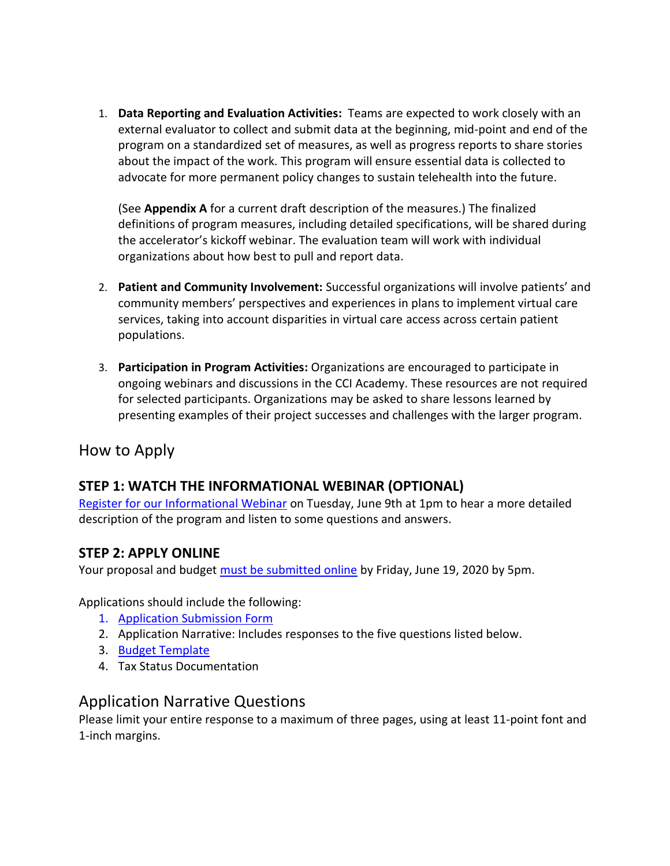1. **Data Reporting and Evaluation Activities:** Teams are expected to work closely with an external evaluator to collect and submit data at the beginning, mid-point and end of the program on a standardized set of measures, as well as progress reports to share stories about the impact of the work. This program will ensure essential data is collected to advocate for more permanent policy changes to sustain telehealth into the future.

(See **Appendix A** for a current draft description of the measures.) The finalized definitions of program measures, including detailed specifications, will be shared during the accelerator's kickoff webinar. The evaluation team will work with individual organizations about how best to pull and report data.

- 2. **Patient and Community Involvement:** Successful organizations will involve patients' and community members' perspectives and experiences in plans to implement virtual care services, taking into account disparities in virtual care access across certain patient populations.
- 3. **Participation in Program Activities:** Organizations are encouraged to participate in ongoing webinars and discussions in the CCI Academy. These resources are not required for selected participants. Organizations may be asked to share lessons learned by presenting examples of their project successes and challenges with the larger program.

## How to Apply

#### **STEP 1: WATCH THE INFORMATIONAL WEBINAR (OPTIONAL)**

[Register for our Informational Webinar](https://us02web.zoom.us/meeting/register/tZckcu2srT0iHtSfJTskLSPpUXBEfykAoaJp) on Tuesday, June 9th at 1pm to hear a more detailed description of the program and listen to some questions and answers.

#### **STEP 2: APPLY ONLINE**

Your proposal and budget [must be submitted online](https://www.tfaforms.com/4829106) by Friday, June 19, 2020 by 5pm.

Applications should include the following:

- 1. [Application Submission Form](https://www.tfaforms.com/4829106)
- 2. Application Narrative: Includes responses to the five questions listed below.
- 3. [Budget Template](https://www.careinnovations.org/wp-content/uploads/Connected-Care-Accelerator_Budget-Template.xlsx)
- 4. Tax Status Documentation

## Application Narrative Questions

Please limit your entire response to a maximum of three pages, using at least 11-point font and 1-inch margins.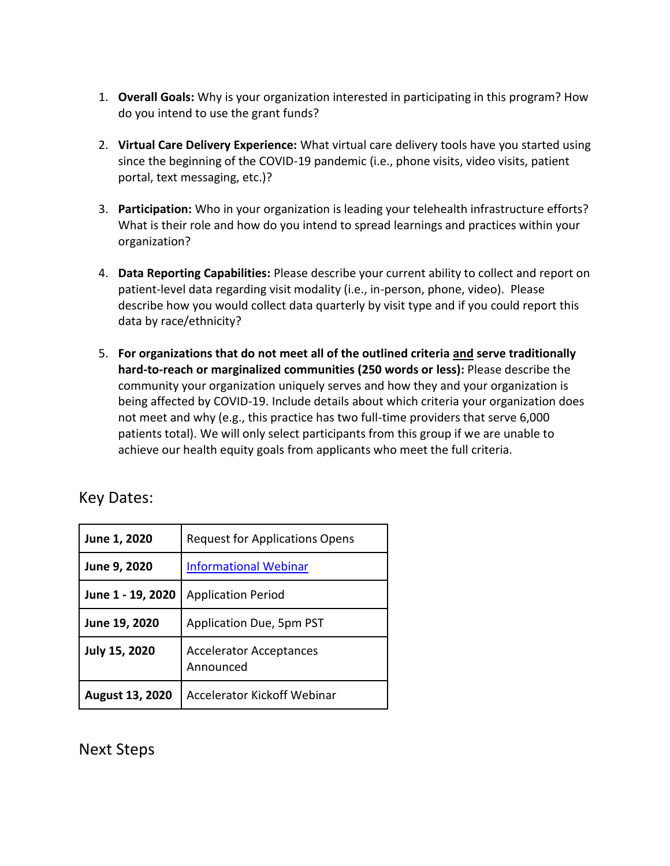- 1. **Overall Goals:** Why is your organization interested in participating in this program? How do you intend to use the grant funds?
- 2. **Virtual Care Delivery Experience:** What virtual care delivery tools have you started using since the beginning of the COVID-19 pandemic (i.e., phone visits, video visits, patient portal, text messaging, etc.)?
- 3. **Participation:** Who in your organization is leading your telehealth infrastructure efforts? What is their role and how do you intend to spread learnings and practices within your organization?
- 4. **Data Reporting Capabilities:** Please describe your current ability to collect and report on patient-level data regarding visit modality (i.e., in-person, phone, video). Please describe how you would collect data quarterly by visit type and if you could report this data by race/ethnicity?
- 5. **For organizations that do not meet all of the outlined criteria and serve traditionally hard-to-reach or marginalized communities (250 words or less):** Please describe the community your organization uniquely serves and how they and your organization is being affected by COVID-19. Include details about which criteria your organization does not meet and why (e.g., this practice has two full-time providers that serve 6,000 patients total). We will only select participants from this group if we are unable to achieve our health equity goals from applicants who meet the full criteria.

## Key Dates:

| June 1, 2020           | <b>Request for Applications Opens</b>       |
|------------------------|---------------------------------------------|
| June 9, 2020           | <b>Informational Webinar</b>                |
| June 1 - 19, 2020      | <b>Application Period</b>                   |
| June 19, 2020          | Application Due, 5pm PST                    |
| <b>July 15, 2020</b>   | <b>Accelerator Acceptances</b><br>Announced |
| <b>August 13, 2020</b> | <b>Accelerator Kickoff Webinar</b>          |

Next Steps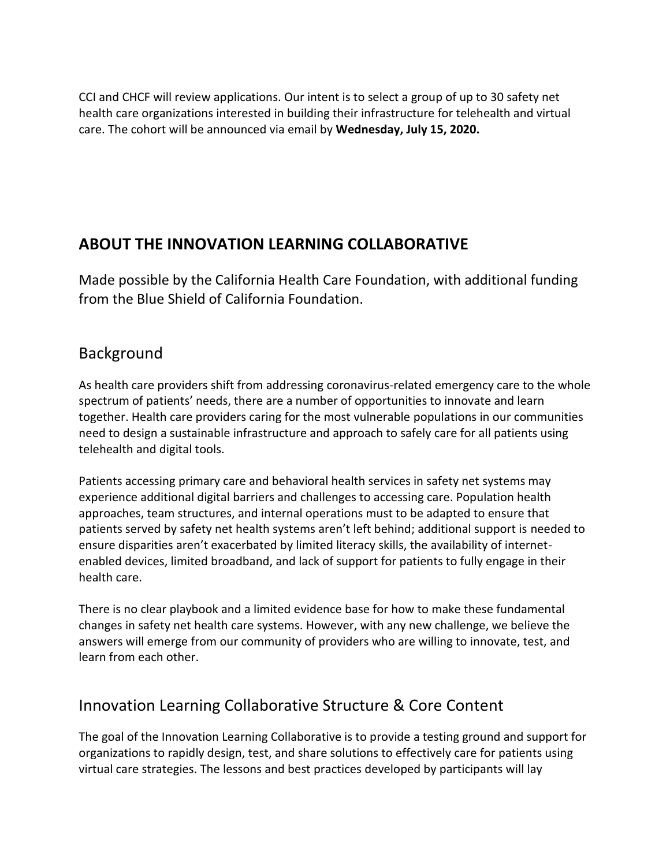CCI and CHCF will review applications. Our intent is to select a group of up to 30 safety net health care organizations interested in building their infrastructure for telehealth and virtual care. The cohort will be announced via email by **Wednesday, July 15, 2020.**

# **ABOUT THE INNOVATION LEARNING COLLABORATIVE**

Made possible by the California Health Care Foundation, with additional funding from the Blue Shield of California Foundation.

## Background

As health care providers shift from addressing coronavirus-related emergency care to the whole spectrum of patients' needs, there are a number of opportunities to innovate and learn together. Health care providers caring for the most vulnerable populations in our communities need to design a sustainable infrastructure and approach to safely care for all patients using telehealth and digital tools.

Patients accessing primary care and behavioral health services in safety net systems may experience additional digital barriers and challenges to accessing care. Population health approaches, team structures, and internal operations must to be adapted to ensure that patients served by safety net health systems aren't left behind; additional support is needed to ensure disparities aren't exacerbated by limited literacy skills, the availability of internetenabled devices, limited broadband, and lack of support for patients to fully engage in their health care.

There is no clear playbook and a limited evidence base for how to make these fundamental changes in safety net health care systems. However, with any new challenge, we believe the answers will emerge from our community of providers who are willing to innovate, test, and learn from each other.

# Innovation Learning Collaborative Structure & Core Content

The goal of the Innovation Learning Collaborative is to provide a testing ground and support for organizations to rapidly design, test, and share solutions to effectively care for patients using virtual care strategies. The lessons and best practices developed by participants will lay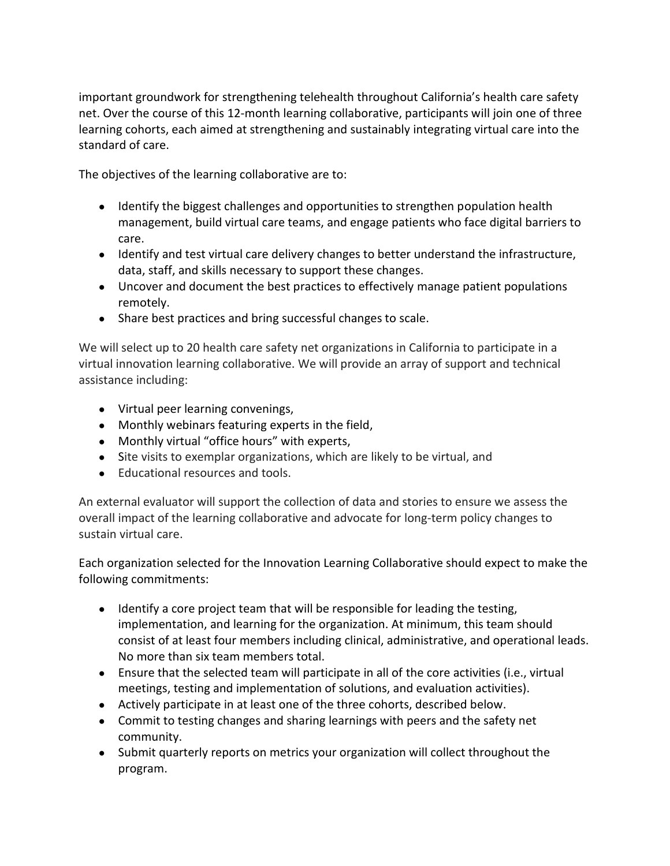important groundwork for strengthening telehealth throughout California's health care safety net. Over the course of this 12-month learning collaborative, participants will join one of three learning cohorts, each aimed at strengthening and sustainably integrating virtual care into the standard of care.

The objectives of the learning collaborative are to:

- Identify the biggest challenges and opportunities to strengthen population health management, build virtual care teams, and engage patients who face digital barriers to care.
- Identify and test virtual care delivery changes to better understand the infrastructure, data, staff, and skills necessary to support these changes.
- Uncover and document the best practices to effectively manage patient populations remotely.
- Share best practices and bring successful changes to scale.

We will select up to 20 health care safety net organizations in California to participate in a virtual innovation learning collaborative. We will provide an array of support and technical assistance including:

- Virtual peer learning convenings,
- Monthly webinars featuring experts in the field,
- Monthly virtual "office hours" with experts,
- Site visits to exemplar organizations, which are likely to be virtual, and
- Educational resources and tools.

An external evaluator will support the collection of data and stories to ensure we assess the overall impact of the learning collaborative and advocate for long-term policy changes to sustain virtual care.

Each organization selected for the Innovation Learning Collaborative should expect to make the following commitments:

- Identify a core project team that will be responsible for leading the testing, implementation, and learning for the organization. At minimum, this team should consist of at least four members including clinical, administrative, and operational leads. No more than six team members total.
- Ensure that the selected team will participate in all of the core activities (i.e., virtual meetings, testing and implementation of solutions, and evaluation activities).
- Actively participate in at least one of the three cohorts, described below.
- Commit to testing changes and sharing learnings with peers and the safety net community.
- Submit quarterly reports on metrics your organization will collect throughout the program.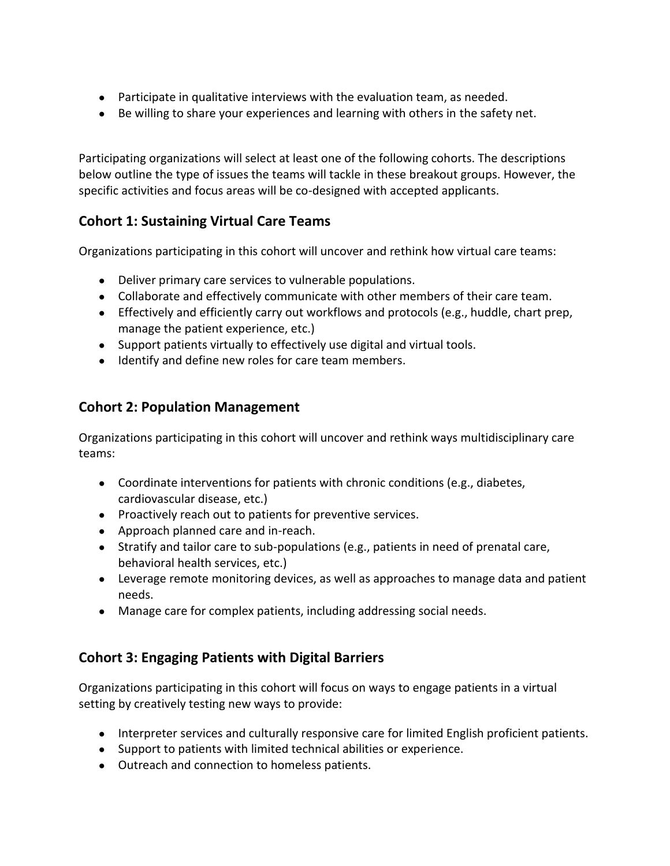- Participate in qualitative interviews with the evaluation team, as needed.
- Be willing to share your experiences and learning with others in the safety net.

Participating organizations will select at least one of the following cohorts. The descriptions below outline the type of issues the teams will tackle in these breakout groups. However, the specific activities and focus areas will be co-designed with accepted applicants.

#### **Cohort 1: Sustaining Virtual Care Teams**

Organizations participating in this cohort will uncover and rethink how virtual care teams:

- Deliver primary care services to vulnerable populations.
- Collaborate and effectively communicate with other members of their care team.
- Effectively and efficiently carry out workflows and protocols (e.g., huddle, chart prep, manage the patient experience, etc.)
- Support patients virtually to effectively use digital and virtual tools.
- Identify and define new roles for care team members.

#### **Cohort 2: Population Management**

Organizations participating in this cohort will uncover and rethink ways multidisciplinary care teams:

- Coordinate interventions for patients with chronic conditions (e.g., diabetes, cardiovascular disease, etc.)
- Proactively reach out to patients for preventive services.
- Approach planned care and in-reach.
- Stratify and tailor care to sub-populations (e.g., patients in need of prenatal care, behavioral health services, etc.)
- Leverage remote monitoring devices, as well as approaches to manage data and patient needs.
- Manage care for complex patients, including addressing social needs.

#### **Cohort 3: Engaging Patients with Digital Barriers**

Organizations participating in this cohort will focus on ways to engage patients in a virtual setting by creatively testing new ways to provide:

- Interpreter services and culturally responsive care for limited English proficient patients.
- Support to patients with limited technical abilities or experience.
- Outreach and connection to homeless patients.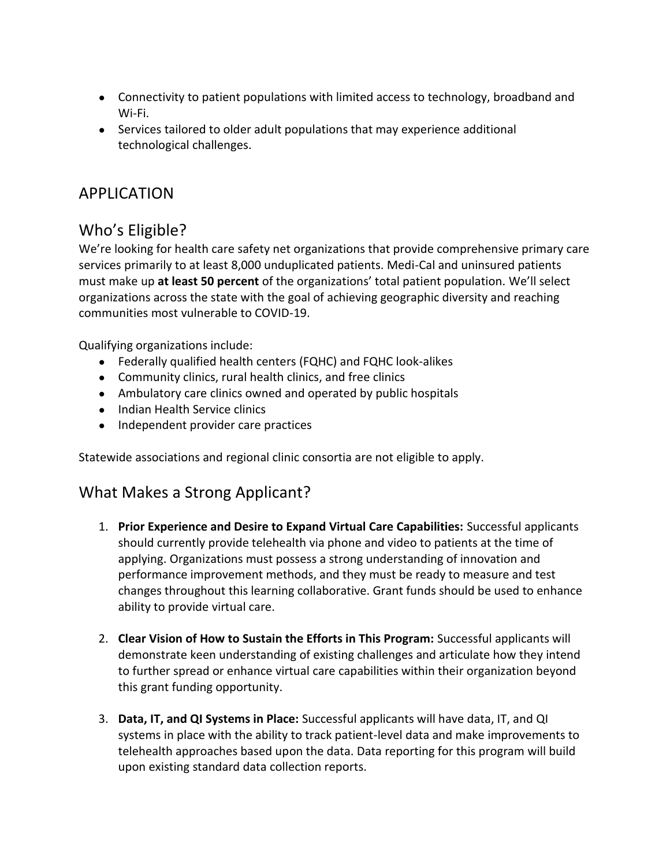- Connectivity to patient populations with limited access to technology, broadband and Wi-Fi.
- Services tailored to older adult populations that may experience additional technological challenges.

# APPLICATION

# Who's Eligible?

We're looking for health care safety net organizations that provide comprehensive primary care services primarily to at least 8,000 unduplicated patients. Medi-Cal and uninsured patients must make up **at least 50 percent** of the organizations' total patient population. We'll select organizations across the state with the goal of achieving geographic diversity and reaching communities most vulnerable to COVID-19.

Qualifying organizations include:

- Federally qualified health centers (FQHC) and FQHC look-alikes
- Community clinics, rural health clinics, and free clinics
- Ambulatory care clinics owned and operated by public hospitals
- Indian Health Service clinics
- Independent provider care practices

Statewide associations and regional clinic consortia are not eligible to apply.

## What Makes a Strong Applicant?

- 1. **Prior Experience and Desire to Expand Virtual Care Capabilities:** Successful applicants should currently provide telehealth via phone and video to patients at the time of applying. Organizations must possess a strong understanding of innovation and performance improvement methods, and they must be ready to measure and test changes throughout this learning collaborative. Grant funds should be used to enhance ability to provide virtual care.
- 2. **Clear Vision of How to Sustain the Efforts in This Program:** Successful applicants will demonstrate keen understanding of existing challenges and articulate how they intend to further spread or enhance virtual care capabilities within their organization beyond this grant funding opportunity.
- 3. **Data, IT, and QI Systems in Place:** Successful applicants will have data, IT, and QI systems in place with the ability to track patient-level data and make improvements to telehealth approaches based upon the data. Data reporting for this program will build upon existing standard data collection reports.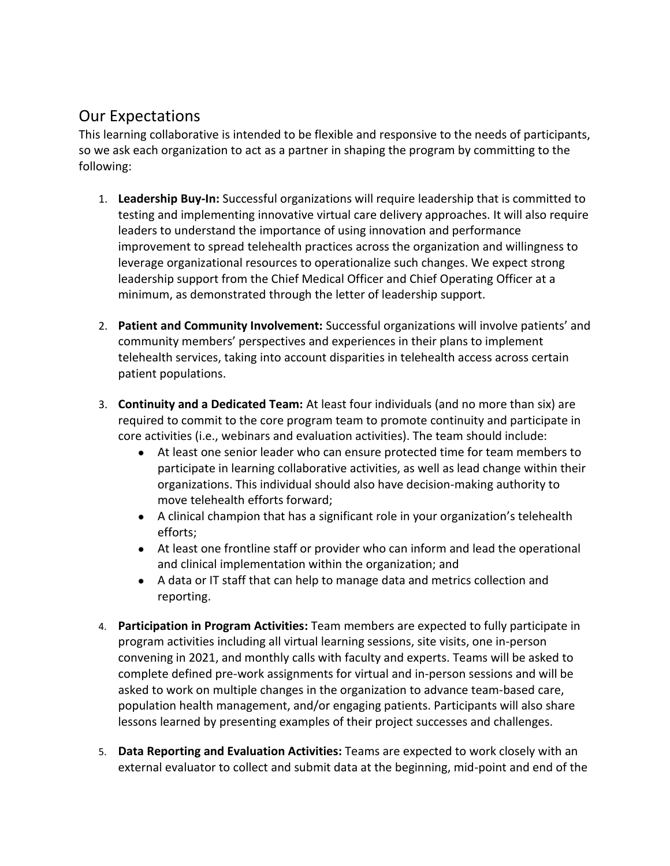# Our Expectations

This learning collaborative is intended to be flexible and responsive to the needs of participants, so we ask each organization to act as a partner in shaping the program by committing to the following:

- 1. **Leadership Buy-In:** Successful organizations will require leadership that is committed to testing and implementing innovative virtual care delivery approaches. It will also require leaders to understand the importance of using innovation and performance improvement to spread telehealth practices across the organization and willingness to leverage organizational resources to operationalize such changes. We expect strong leadership support from the Chief Medical Officer and Chief Operating Officer at a minimum, as demonstrated through the letter of leadership support.
- 2. **Patient and Community Involvement:** Successful organizations will involve patients' and community members' perspectives and experiences in their plans to implement telehealth services, taking into account disparities in telehealth access across certain patient populations.
- 3. **Continuity and a Dedicated Team:** At least four individuals (and no more than six) are required to commit to the core program team to promote continuity and participate in core activities (i.e., webinars and evaluation activities). The team should include:
	- At least one senior leader who can ensure protected time for team members to participate in learning collaborative activities, as well as lead change within their organizations. This individual should also have decision-making authority to move telehealth efforts forward;
	- A clinical champion that has a significant role in your organization's telehealth efforts;
	- At least one frontline staff or provider who can inform and lead the operational and clinical implementation within the organization; and
	- A data or IT staff that can help to manage data and metrics collection and reporting.
- 4. **Participation in Program Activities:** Team members are expected to fully participate in program activities including all virtual learning sessions, site visits, one in-person convening in 2021, and monthly calls with faculty and experts. Teams will be asked to complete defined pre-work assignments for virtual and in-person sessions and will be asked to work on multiple changes in the organization to advance team-based care, population health management, and/or engaging patients. Participants will also share lessons learned by presenting examples of their project successes and challenges.
- 5. **Data Reporting and Evaluation Activities:** Teams are expected to work closely with an external evaluator to collect and submit data at the beginning, mid-point and end of the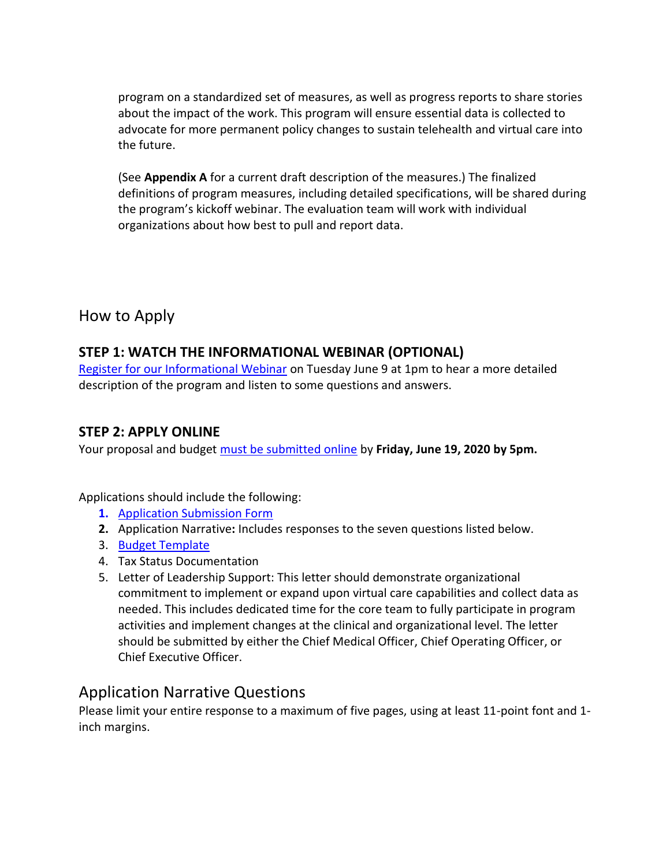program on a standardized set of measures, as well as progress reports to share stories about the impact of the work. This program will ensure essential data is collected to advocate for more permanent policy changes to sustain telehealth and virtual care into the future.

(See **Appendix A** for a current draft description of the measures.) The finalized definitions of program measures, including detailed specifications, will be shared during the program's kickoff webinar. The evaluation team will work with individual organizations about how best to pull and report data.

## How to Apply

#### **STEP 1: WATCH THE INFORMATIONAL WEBINAR (OPTIONAL)**

[Register for our Informational Webinar](https://us02web.zoom.us/meeting/register/tZckcu2srT0iHtSfJTskLSPpUXBEfykAoaJp) on Tuesday June 9 at 1pm to hear a more detailed description of the program and listen to some questions and answers.

#### **STEP 2: APPLY ONLINE**

Your proposal and budget [must be submitted online](https://www.tfaforms.com/4828893) by **Friday, June 19, 2020 by 5pm.**

Applications should include the following:

- **1.** [Application Submission Form](https://www.tfaforms.com/4828893)
- **2.** Application Narrative**:** Includes responses to the seven questions listed below.
- 3. [Budget Template](https://www.careinnovations.org/wp-content/uploads/Connected-Care-Accelerator_Budget-Template.xlsx)
- 4. Tax Status Documentation
- 5. Letter of Leadership Support: This letter should demonstrate organizational commitment to implement or expand upon virtual care capabilities and collect data as needed. This includes dedicated time for the core team to fully participate in program activities and implement changes at the clinical and organizational level. The letter should be submitted by either the Chief Medical Officer, Chief Operating Officer, or Chief Executive Officer.

## Application Narrative Questions

Please limit your entire response to a maximum of five pages, using at least 11-point font and 1 inch margins.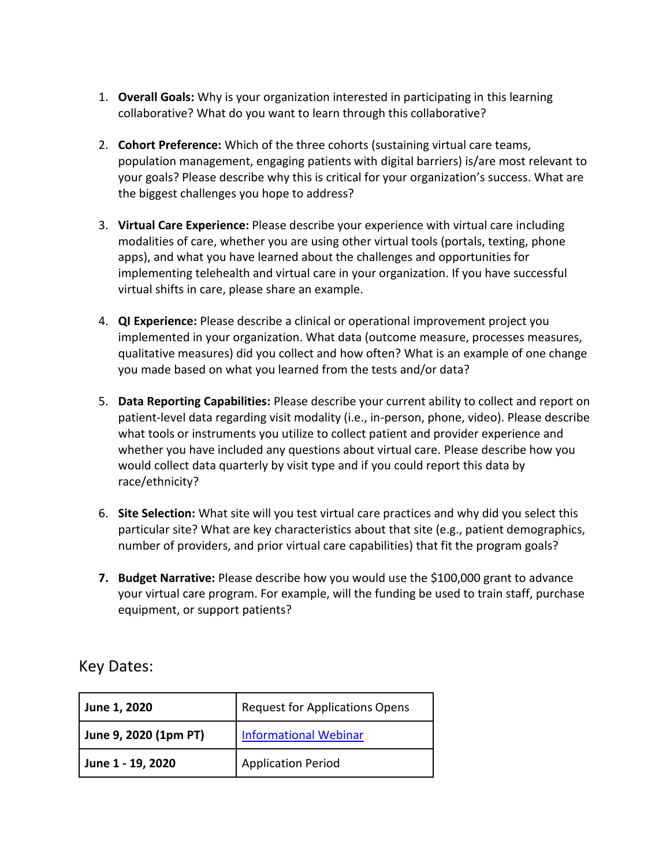- 1. **Overall Goals:** Why is your organization interested in participating in this learning collaborative? What do you want to learn through this collaborative?
- 2. **Cohort Preference:** Which of the three cohorts (sustaining virtual care teams, population management, engaging patients with digital barriers) is/are most relevant to your goals? Please describe why this is critical for your organization's success. What are the biggest challenges you hope to address?
- 3. **Virtual Care Experience:** Please describe your experience with virtual care including modalities of care, whether you are using other virtual tools (portals, texting, phone apps), and what you have learned about the challenges and opportunities for implementing telehealth and virtual care in your organization. If you have successful virtual shifts in care, please share an example.
- 4. **QI Experience:** Please describe a clinical or operational improvement project you implemented in your organization. What data (outcome measure, processes measures, qualitative measures) did you collect and how often? What is an example of one change you made based on what you learned from the tests and/or data?
- 5. **Data Reporting Capabilities:** Please describe your current ability to collect and report on patient-level data regarding visit modality (i.e., in-person, phone, video). Please describe what tools or instruments you utilize to collect patient and provider experience and whether you have included any questions about virtual care. Please describe how you would collect data quarterly by visit type and if you could report this data by race/ethnicity?
- 6. **Site Selection:** What site will you test virtual care practices and why did you select this particular site? What are key characteristics about that site (e.g., patient demographics, number of providers, and prior virtual care capabilities) that fit the program goals?
- **7. Budget Narrative:** Please describe how you would use the \$100,000 grant to advance your virtual care program. For example, will the funding be used to train staff, purchase equipment, or support patients?

Key Dates:

| June 1, 2020          | <b>Request for Applications Opens</b> |
|-----------------------|---------------------------------------|
| June 9, 2020 (1pm PT) | <b>Informational Webinar</b>          |
| June 1 - 19, 2020     | <b>Application Period</b>             |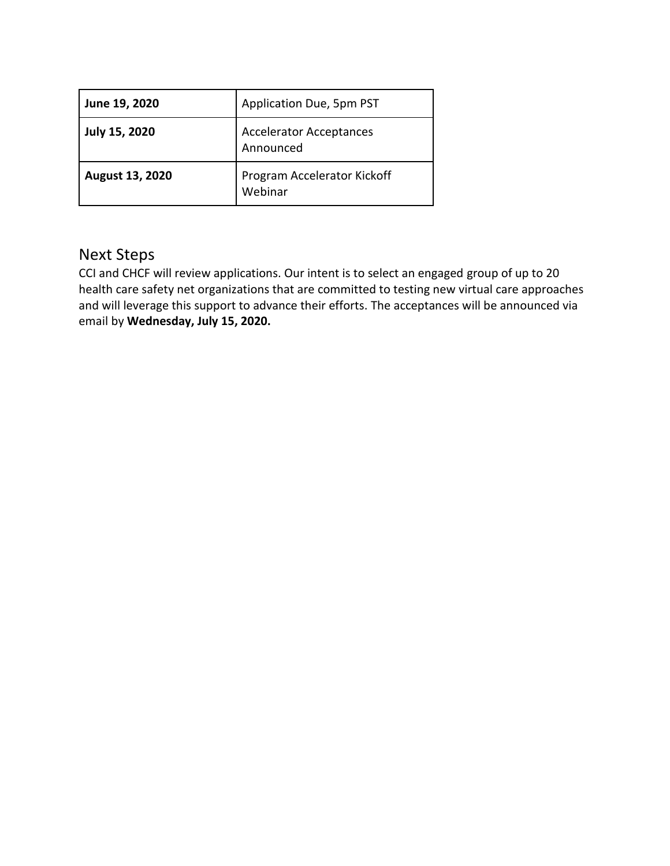| June 19, 2020          | Application Due, 5pm PST                    |
|------------------------|---------------------------------------------|
| <b>July 15, 2020</b>   | <b>Accelerator Acceptances</b><br>Announced |
| <b>August 13, 2020</b> | Program Accelerator Kickoff<br>Webinar      |

# Next Steps

CCI and CHCF will review applications. Our intent is to select an engaged group of up to 20 health care safety net organizations that are committed to testing new virtual care approaches and will leverage this support to advance their efforts. The acceptances will be announced via email by **Wednesday, July 15, 2020.**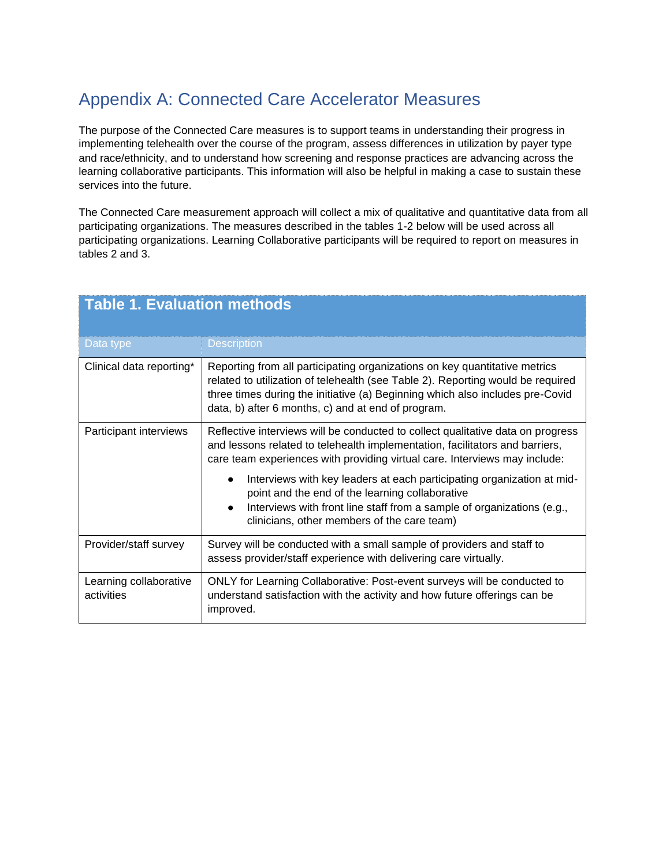# Appendix A: Connected Care Accelerator Measures

The purpose of the Connected Care measures is to support teams in understanding their progress in implementing telehealth over the course of the program, assess differences in utilization by payer type and race/ethnicity, and to understand how screening and response practices are advancing across the learning collaborative participants. This information will also be helpful in making a case to sustain these services into the future.

The Connected Care measurement approach will collect a mix of qualitative and quantitative data from all participating organizations. The measures described in the tables 1-2 below will be used across all participating organizations. Learning Collaborative participants will be required to report on measures in tables 2 and 3.

| <b>Table 1. Evaluation methods</b>   |                                                                                                                                                                                                                                                                                                      |  |
|--------------------------------------|------------------------------------------------------------------------------------------------------------------------------------------------------------------------------------------------------------------------------------------------------------------------------------------------------|--|
| Data type                            | <b>Description</b>                                                                                                                                                                                                                                                                                   |  |
| Clinical data reporting*             | Reporting from all participating organizations on key quantitative metrics<br>related to utilization of telehealth (see Table 2). Reporting would be required<br>three times during the initiative (a) Beginning which also includes pre-Covid<br>data, b) after 6 months, c) and at end of program. |  |
| Participant interviews               | Reflective interviews will be conducted to collect qualitative data on progress<br>and lessons related to telehealth implementation, facilitators and barriers,<br>care team experiences with providing virtual care. Interviews may include:                                                        |  |
|                                      | Interviews with key leaders at each participating organization at mid-<br>point and the end of the learning collaborative<br>Interviews with front line staff from a sample of organizations (e.g.,<br>$\bullet$<br>clinicians, other members of the care team)                                      |  |
| Provider/staff survey                | Survey will be conducted with a small sample of providers and staff to<br>assess provider/staff experience with delivering care virtually.                                                                                                                                                           |  |
| Learning collaborative<br>activities | ONLY for Learning Collaborative: Post-event surveys will be conducted to<br>understand satisfaction with the activity and how future offerings can be<br>improved.                                                                                                                                   |  |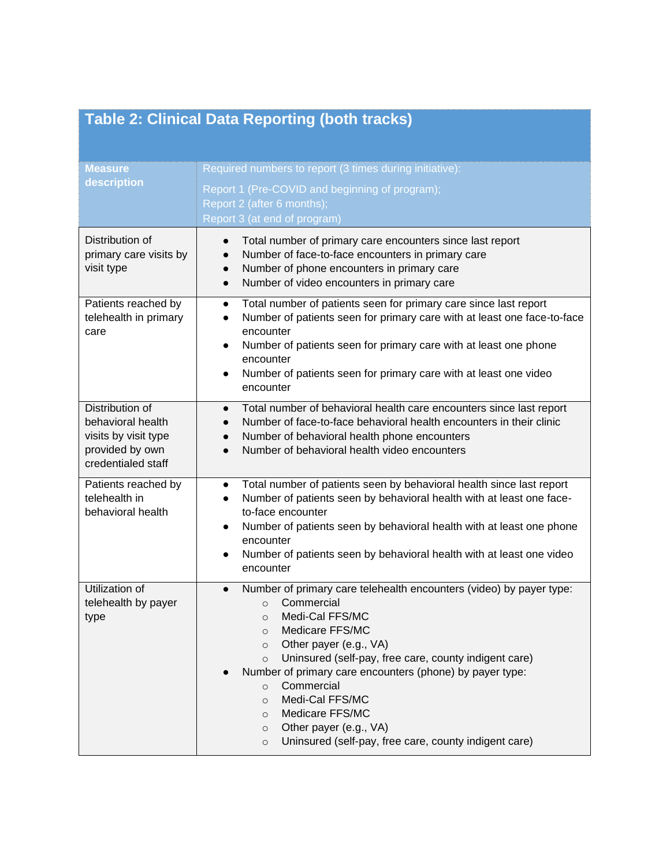|  | <b>Table 2: Clinical Data Reporting (both tracks)</b> |  |
|--|-------------------------------------------------------|--|
|  |                                                       |  |
|  |                                                       |  |

| <b>Measure</b><br>description                                                                         | Required numbers to report (3 times during initiative):<br>Report 1 (Pre-COVID and beginning of program);<br>Report 2 (after 6 months);<br>Report 3 (at end of program)                                                                                                                                                                                                                                                                                                                                                                   |
|-------------------------------------------------------------------------------------------------------|-------------------------------------------------------------------------------------------------------------------------------------------------------------------------------------------------------------------------------------------------------------------------------------------------------------------------------------------------------------------------------------------------------------------------------------------------------------------------------------------------------------------------------------------|
| Distribution of<br>primary care visits by<br>visit type                                               | Total number of primary care encounters since last report<br>$\bullet$<br>Number of face-to-face encounters in primary care<br>$\bullet$<br>Number of phone encounters in primary care<br>$\bullet$<br>Number of video encounters in primary care<br>$\bullet$                                                                                                                                                                                                                                                                            |
| Patients reached by<br>telehealth in primary<br>care                                                  | Total number of patients seen for primary care since last report<br>$\bullet$<br>Number of patients seen for primary care with at least one face-to-face<br>$\bullet$<br>encounter<br>Number of patients seen for primary care with at least one phone<br>$\bullet$<br>encounter<br>Number of patients seen for primary care with at least one video<br>$\bullet$<br>encounter                                                                                                                                                            |
| Distribution of<br>behavioral health<br>visits by visit type<br>provided by own<br>credentialed staff | Total number of behavioral health care encounters since last report<br>$\bullet$<br>Number of face-to-face behavioral health encounters in their clinic<br>$\bullet$<br>Number of behavioral health phone encounters<br>$\bullet$<br>Number of behavioral health video encounters                                                                                                                                                                                                                                                         |
| Patients reached by<br>telehealth in<br>behavioral health                                             | Total number of patients seen by behavioral health since last report<br>$\bullet$<br>Number of patients seen by behavioral health with at least one face-<br>$\bullet$<br>to-face encounter<br>Number of patients seen by behavioral health with at least one phone<br>$\bullet$<br>encounter<br>Number of patients seen by behavioral health with at least one video<br>$\bullet$<br>encounter                                                                                                                                           |
| Utilization of<br>telehealth by payer<br>type                                                         | Number of primary care telehealth encounters (video) by payer type:<br>$\bullet$<br>Commercial<br>$\Omega$<br>Medi-Cal FFS/MC<br>$\circ$<br>Medicare FFS/MC<br>$\circ$<br>Other payer (e.g., VA)<br>$\circ$<br>Uninsured (self-pay, free care, county indigent care)<br>$\circ$<br>Number of primary care encounters (phone) by payer type:<br>Commercial<br>$\circ$<br>Medi-Cal FFS/MC<br>$\circ$<br>Medicare FFS/MC<br>$\circ$<br>Other payer (e.g., VA)<br>$\circ$<br>Uninsured (self-pay, free care, county indigent care)<br>$\circ$ |